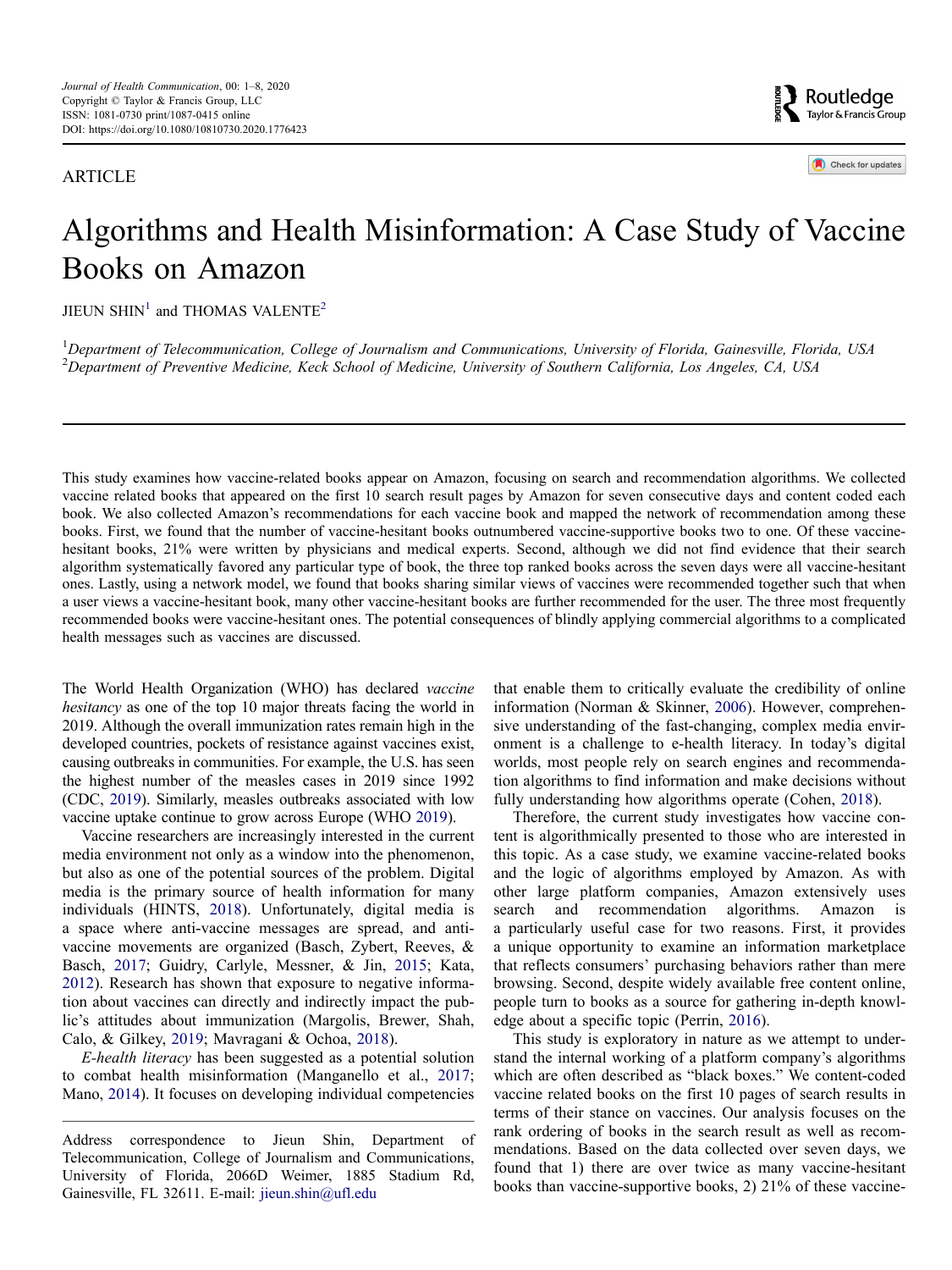ARTICLE

Routledge Taylor & Francis Group

Check for updates

# Algorithms and Health Misinformation: A Case Study of Vaccine Books on Amazon

 $JIEUN SHIN<sup>1</sup>$  $JIEUN SHIN<sup>1</sup>$  $JIEUN SHIN<sup>1</sup>$  and THOMAS VALENTE<sup>[2](#page-0-1)</sup>

<span id="page-0-1"></span><span id="page-0-0"></span><sup>1</sup>Department of Telecommunication, College of Journalism and Communications, University of Florida, Gainesville, Florida, USA<br><sup>2</sup>Department of Proventive Medicine, Keek School of Medicine, University of Southern Californi *Department of Preventive Medicine, Keck School of Medicine, University of Southern California, Los Angeles, CA, USA*

This study examines how vaccine-related books appear on Amazon, focusing on search and recommendation algorithms. We collected vaccine related books that appeared on the first 10 search result pages by Amazon for seven consecutive days and content coded each book. We also collected Amazon's recommendations for each vaccine book and mapped the network of recommendation among these books. First, we found that the number of vaccine-hesitant books outnumbered vaccine-supportive books two to one. Of these vaccinehesitant books, 21% were written by physicians and medical experts. Second, although we did not find evidence that their search algorithm systematically favored any particular type of book, the three top ranked books across the seven days were all vaccine-hesitant ones. Lastly, using a network model, we found that books sharing similar views of vaccines were recommended together such that when a user views a vaccine-hesitant book, many other vaccine-hesitant books are further recommended for the user. The three most frequently recommended books were vaccine-hesitant ones. The potential consequences of blindly applying commercial algorithms to a complicated health messages such as vaccines are discussed.

The World Health Organization (WHO) has declared *vaccine hesitancy* as one of the top 10 major threats facing the world in 2019. Although the overall immunization rates remain high in the developed countries, pockets of resistance against vaccines exist, causing outbreaks in communities. For example, the U.S. has seen the highest number of the measles cases in 2019 since 1992 (CDC, [2019](#page-6-0)). Similarly, measles outbreaks associated with low vaccine uptake continue to grow across Europe (WHO [2019](#page-7-0)).

<span id="page-0-11"></span><span id="page-0-5"></span><span id="page-0-3"></span>Vaccine researchers are increasingly interested in the current media environment not only as a window into the phenomenon, but also as one of the potential sources of the problem. Digital media is the primary source of health information for many individuals (HINTS, [2018\)](#page-7-1). Unfortunately, digital media is a space where anti-vaccine messages are spread, and antivaccine movements are organized (Basch, Zybert, Reeves, & Basch, [2017](#page-6-1); Guidry, Carlyle, Messner, & Jin, [2015](#page-7-2); Kata, [2012\)](#page-7-3). Research has shown that exposure to negative information about vaccines can directly and indirectly impact the public's attitudes about immunization (Margolis, Brewer, Shah, Calo, & Gilkey, [2019](#page-7-4); Mavragani & Ochoa, [2018\)](#page-7-5).

<span id="page-0-8"></span><span id="page-0-7"></span><span id="page-0-6"></span><span id="page-0-2"></span>*E-health literacy* has been suggested as a potential solution to combat health misinformation (Manganello et al., [2017](#page-7-6); Mano, [2014\)](#page-7-7). It focuses on developing individual competencies <span id="page-0-9"></span>that enable them to critically evaluate the credibility of online information (Norman & Skinner, [2006\)](#page-7-8). However, comprehensive understanding of the fast-changing, complex media environment is a challenge to e-health literacy. In today's digital worlds, most people rely on search engines and recommendation algorithms to find information and make decisions without fully understanding how algorithms operate (Cohen, [2018\)](#page-6-2).

<span id="page-0-4"></span>Therefore, the current study investigates how vaccine content is algorithmically presented to those who are interested in this topic. As a case study, we examine vaccine-related books and the logic of algorithms employed by Amazon. As with other large platform companies, Amazon extensively uses search and recommendation algorithms. Amazon is a particularly useful case for two reasons. First, it provides a unique opportunity to examine an information marketplace that reflects consumers' purchasing behaviors rather than mere browsing. Second, despite widely available free content online, people turn to books as a source for gathering in-depth knowledge about a specific topic (Perrin, [2016\)](#page-7-9).

<span id="page-0-10"></span>This study is exploratory in nature as we attempt to understand the internal working of a platform company's algorithms which are often described as "black boxes." We content-coded vaccine related books on the first 10 pages of search results in terms of their stance on vaccines. Our analysis focuses on the rank ordering of books in the search result as well as recommendations. Based on the data collected over seven days, we found that 1) there are over twice as many vaccine-hesitant books than vaccine-supportive books, 2) 21% of these vaccine-

Address correspondence to Jieun Shin, Department of Telecommunication, College of Journalism and Communications, University of Florida, 2066D Weimer, 1885 Stadium Rd, Gainesville, FL 32611. E-mail: jieun.shin@ufl.edu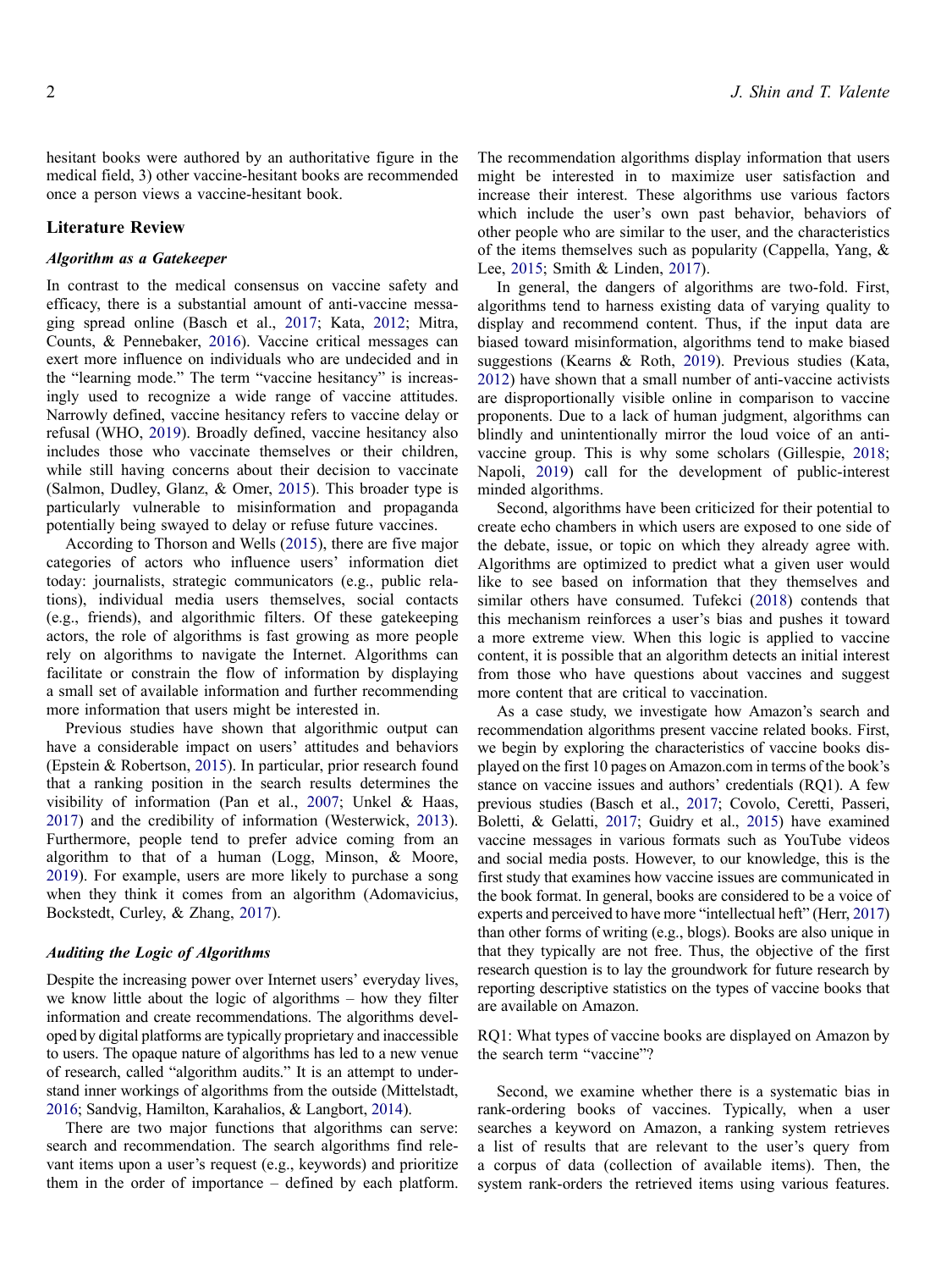hesitant books were authored by an authoritative figure in the medical field, 3) other vaccine-hesitant books are recommended once a person views a vaccine-hesitant book.

# **Literature Review**

## *Algorithm as a Gatekeeper*

<span id="page-1-8"></span>In contrast to the medical consensus on vaccine safety and efficacy, there is a substantial amount of anti-vaccine messaging spread online (Basch et al., [2017;](#page-6-1) Kata, [2012](#page-7-3); Mitra, Counts, & Pennebaker, [2016](#page-7-10)). Vaccine critical messages can exert more influence on individuals who are undecided and in the "learning mode." The term "vaccine hesitancy" is increasingly used to recognize a wide range of vaccine attitudes. Narrowly defined, vaccine hesitancy refers to vaccine delay or refusal (WHO, [2019](#page-7-0)). Broadly defined, vaccine hesitancy also includes those who vaccinate themselves or their children, while still having concerns about their decision to vaccinate (Salmon, Dudley, Glanz, & Omer, [2015\)](#page-7-11). This broader type is particularly vulnerable to misinformation and propaganda potentially being swayed to delay or refuse future vaccines.

<span id="page-1-14"></span><span id="page-1-12"></span>According to Thorson and Wells [\(2015](#page-7-12)), there are five major categories of actors who influence users' information diet today: journalists, strategic communicators (e.g., public relations), individual media users themselves, social contacts (e.g., friends), and algorithmic filters. Of these gatekeeping actors, the role of algorithms is fast growing as more people rely on algorithms to navigate the Internet. Algorithms can facilitate or constrain the flow of information by displaying a small set of available information and further recommending more information that users might be interested in.

<span id="page-1-16"></span><span id="page-1-11"></span><span id="page-1-3"></span>Previous studies have shown that algorithmic output can have a considerable impact on users' attitudes and behaviors (Epstein & Robertson, [2015\)](#page-6-3). In particular, prior research found that a ranking position in the search results determines the visibility of information (Pan et al., [2007;](#page-7-13) Unkel & Haas, [2017\)](#page-7-14) and the credibility of information (Westerwick, [2013](#page-7-15)). Furthermore, people tend to prefer advice coming from an algorithm to that of a human (Logg, Minson, & Moore, [2019\)](#page-7-16). For example, users are more likely to purchase a song when they think it comes from an algorithm (Adomavicius, Bockstedt, Curley, & Zhang, [2017\)](#page-6-4).

# <span id="page-1-7"></span><span id="page-1-0"></span>*Auditing the Logic of Algorithms*

Despite the increasing power over Internet users' everyday lives, we know little about the logic of algorithms – how they filter information and create recommendations. The algorithms developed by digital platforms are typically proprietary and inaccessible to users. The opaque nature of algorithms has led to a new venue of research, called "algorithm audits." It is an attempt to understand inner workings of algorithms from the outside (Mittelstadt, [2016;](#page-7-17) Sandvig, Hamilton, Karahalios, & Langbort, [2014](#page-7-18)).

<span id="page-1-13"></span><span id="page-1-9"></span>There are two major functions that algorithms can serve: search and recommendation. The search algorithms find relevant items upon a user's request (e.g., keywords) and prioritize them in the order of importance – defined by each platform.

The recommendation algorithms display information that users might be interested in to maximize user satisfaction and increase their interest. These algorithms use various factors which include the user's own past behavior, behaviors of other people who are similar to the user, and the characteristics of the items themselves such as popularity (Cappella, Yang, & Lee, [2015;](#page-6-5) Smith & Linden, [2017](#page-7-19)).

<span id="page-1-6"></span><span id="page-1-1"></span>In general, the dangers of algorithms are two-fold. First, algorithms tend to harness existing data of varying quality to display and recommend content. Thus, if the input data are biased toward misinformation, algorithms tend to make biased suggestions (Kearns & Roth, [2019\)](#page-7-20). Previous studies (Kata, [2012](#page-7-3)) have shown that a small number of anti-vaccine activists are disproportionally visible online in comparison to vaccine proponents. Due to a lack of human judgment, algorithms can blindly and unintentionally mirror the loud voice of an antivaccine group. This is why some scholars (Gillespie, [2018](#page-7-21); Napoli, [2019\)](#page-7-22) call for the development of public-interest minded algorithms.

<span id="page-1-15"></span><span id="page-1-10"></span><span id="page-1-4"></span>Second, algorithms have been criticized for their potential to create echo chambers in which users are exposed to one side of the debate, issue, or topic on which they already agree with. Algorithms are optimized to predict what a given user would like to see based on information that they themselves and similar others have consumed. Tufekci [\(2018](#page-7-23)) contends that this mechanism reinforces a user's bias and pushes it toward a more extreme view. When this logic is applied to vaccine content, it is possible that an algorithm detects an initial interest from those who have questions about vaccines and suggest more content that are critical to vaccination.

<span id="page-1-2"></span>As a case study, we investigate how Amazon's search and recommendation algorithms present vaccine related books. First, we begin by exploring the characteristics of vaccine books displayed on the first 10 pages on Amazon.com in terms of the book's stance on vaccine issues and authors' credentials (RQ1). A few previous studies (Basch et al., [2017;](#page-6-1) Covolo, Ceretti, Passeri, Boletti, & Gelatti, [2017;](#page-6-6) Guidry et al., [2015\)](#page-7-2) have examined vaccine messages in various formats such as YouTube videos and social media posts. However, to our knowledge, this is the first study that examines how vaccine issues are communicated in the book format. In general, books are considered to be a voice of experts and perceived to have more "intellectual heft" (Herr, [2017\)](#page-7-24) than other forms of writing (e.g., blogs). Books are also unique in that they typically are not free. Thus, the objective of the first research question is to lay the groundwork for future research by reporting descriptive statistics on the types of vaccine books that are available on Amazon.

<span id="page-1-5"></span>RQ1: What types of vaccine books are displayed on Amazon by the search term "vaccine"?

Second, we examine whether there is a systematic bias in rank-ordering books of vaccines. Typically, when a user searches a keyword on Amazon, a ranking system retrieves a list of results that are relevant to the user's query from a corpus of data (collection of available items). Then, the system rank-orders the retrieved items using various features.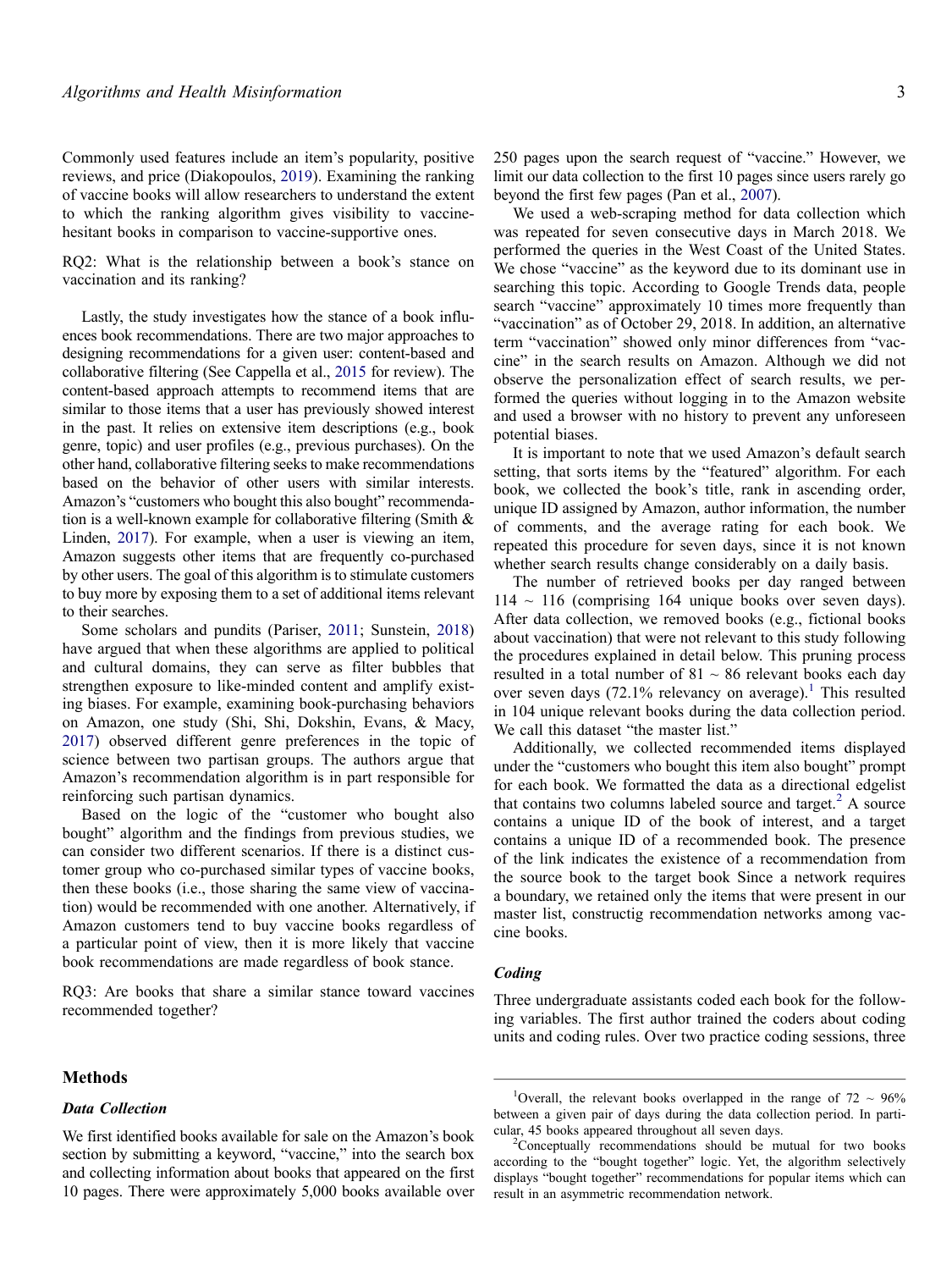<span id="page-2-2"></span>Commonly used features include an item's popularity, positive reviews, and price (Diakopoulos, [2019](#page-6-7)). Examining the ranking of vaccine books will allow researchers to understand the extent to which the ranking algorithm gives visibility to vaccinehesitant books in comparison to vaccine-supportive ones.

RQ2: What is the relationship between a book's stance on vaccination and its ranking?

Lastly, the study investigates how the stance of a book influences book recommendations. There are two major approaches to designing recommendations for a given user: content-based and collaborative filtering (See Cappella et al., [2015](#page-6-5) for review). The content-based approach attempts to recommend items that are similar to those items that a user has previously showed interest in the past. It relies on extensive item descriptions (e.g., book genre, topic) and user profiles (e.g., previous purchases). On the other hand, collaborative filtering seeks to make recommendations based on the behavior of other users with similar interests. Amazon's "customers who bought this also bought" recommendation is a well-known example for collaborative filtering (Smith & Linden, [2017\)](#page-7-19). For example, when a user is viewing an item, Amazon suggests other items that are frequently co-purchased by other users. The goal of this algorithm is to stimulate customers to buy more by exposing them to a set of additional items relevant to their searches.

<span id="page-2-4"></span><span id="page-2-3"></span>Some scholars and pundits (Pariser, [2011](#page-7-25); Sunstein, [2018\)](#page-7-26) have argued that when these algorithms are applied to political and cultural domains, they can serve as filter bubbles that strengthen exposure to like-minded content and amplify existing biases. For example, examining book-purchasing behaviors on Amazon, one study (Shi, Shi, Dokshin, Evans, & Macy, [2017\)](#page-7-27) observed different genre preferences in the topic of science between two partisan groups. The authors argue that Amazon's recommendation algorithm is in part responsible for reinforcing such partisan dynamics.

Based on the logic of the "customer who bought also bought" algorithm and the findings from previous studies, we can consider two different scenarios. If there is a distinct customer group who co-purchased similar types of vaccine books, then these books (i.e., those sharing the same view of vaccination) would be recommended with one another. Alternatively, if Amazon customers tend to buy vaccine books regardless of a particular point of view, then it is more likely that vaccine book recommendations are made regardless of book stance.

RQ3: Are books that share a similar stance toward vaccines recommended together?

## **Methods**

## *Data Collection*

We first identified books available for sale on the Amazon's book section by submitting a keyword, "vaccine," into the search box and collecting information about books that appeared on the first 10 pages. There were approximately 5,000 books available over 250 pages upon the search request of "vaccine." However, we limit our data collection to the first 10 pages since users rarely go beyond the first few pages (Pan et al., [2007\)](#page-7-13).

We used a web-scraping method for data collection which was repeated for seven consecutive days in March 2018. We performed the queries in the West Coast of the United States. We chose "vaccine" as the keyword due to its dominant use in searching this topic. According to Google Trends data, people search "vaccine" approximately 10 times more frequently than "vaccination" as of October 29, 2018. In addition, an alternative term "vaccination" showed only minor differences from "vaccine" in the search results on Amazon. Although we did not observe the personalization effect of search results, we performed the queries without logging in to the Amazon website and used a browser with no history to prevent any unforeseen potential biases.

It is important to note that we used Amazon's default search setting, that sorts items by the "featured" algorithm. For each book, we collected the book's title, rank in ascending order, unique ID assigned by Amazon, author information, the number of comments, and the average rating for each book. We repeated this procedure for seven days, since it is not known whether search results change considerably on a daily basis.

The number of retrieved books per day ranged between  $114 \sim 116$  (comprising 164 unique books over seven days). After data collection, we removed books (e.g., fictional books about vaccination) that were not relevant to this study following the procedures explained in detail below. This pruning process resulted in a total number of  $81 \sim 86$  relevant books each day over seven days  $(72.1\%$  $(72.1\%$  $(72.1\%$  relevancy on average).<sup>1</sup> This resulted in 104 unique relevant books during the data collection period. We call this dataset "the master list."

Additionally, we collected recommended items displayed under the "customers who bought this item also bought" prompt for each book. We formatted the data as a directional edgelist that contains two columns labeled source and target. $<sup>2</sup>$  A source</sup> contains a unique ID of the book of interest, and a target contains a unique ID of a recommended book. The presence of the link indicates the existence of a recommendation from the source book to the target book Since a network requires a boundary, we retained only the items that were present in our master list, constructig recommendation networks among vaccine books.

#### *Coding*

Three undergraduate assistants coded each book for the following variables. The first author trained the coders about coding units and coding rules. Over two practice coding sessions, three

<span id="page-2-0"></span><sup>&</sup>lt;sup>1</sup>Overall, the relevant books overlapped in the range of  $72 \sim 96\%$ between a given pair of days during the data collection period. In particular, 45 books appeared throughout all seven days.

<span id="page-2-1"></span><sup>&</sup>lt;sup>2</sup>Conceptually recommendations should be mutual for two books according to the "bought together" logic. Yet, the algorithm selectively displays "bought together" recommendations for popular items which can result in an asymmetric recommendation network.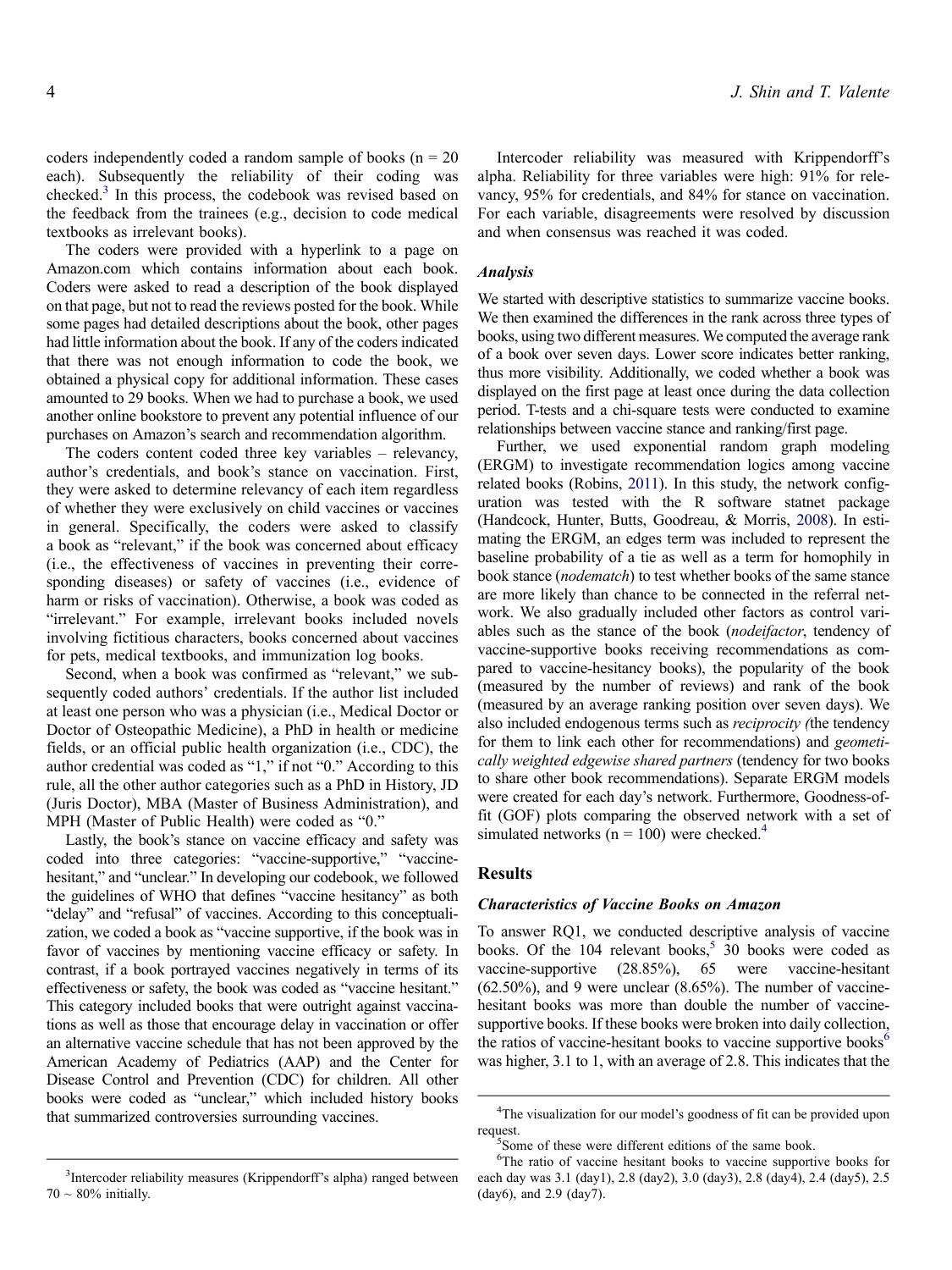coders independently coded a random sample of books ( $n = 20$ ) each). Subsequently the reliability of their coding was checked[.3](#page-3-0) In this process, the codebook was revised based on the feedback from the trainees (e.g., decision to code medical textbooks as irrelevant books).

The coders were provided with a hyperlink to a page on Amazon.com which contains information about each book. Coders were asked to read a description of the book displayed on that page, but not to read the reviews posted for the book. While some pages had detailed descriptions about the book, other pages had little information about the book. If any of the coders indicated that there was not enough information to code the book, we obtained a physical copy for additional information. These cases amounted to 29 books. When we had to purchase a book, we used another online bookstore to prevent any potential influence of our purchases on Amazon's search and recommendation algorithm.

The coders content coded three key variables – relevancy, author's credentials, and book's stance on vaccination. First, they were asked to determine relevancy of each item regardless of whether they were exclusively on child vaccines or vaccines in general. Specifically, the coders were asked to classify a book as "relevant," if the book was concerned about efficacy (i.e., the effectiveness of vaccines in preventing their corresponding diseases) or safety of vaccines (i.e., evidence of harm or risks of vaccination). Otherwise, a book was coded as "irrelevant." For example, irrelevant books included novels involving fictitious characters, books concerned about vaccines for pets, medical textbooks, and immunization log books.

Second, when a book was confirmed as "relevant," we subsequently coded authors' credentials. If the author list included at least one person who was a physician (i.e., Medical Doctor or Doctor of Osteopathic Medicine), a PhD in health or medicine fields, or an official public health organization (i.e., CDC), the author credential was coded as "1," if not "0." According to this rule, all the other author categories such as a PhD in History, JD (Juris Doctor), MBA (Master of Business Administration), and MPH (Master of Public Health) were coded as "0."

Lastly, the book's stance on vaccine efficacy and safety was coded into three categories: "vaccine-supportive," "vaccinehesitant," and "unclear." In developing our codebook, we followed the guidelines of WHO that defines "vaccine hesitancy" as both "delay" and "refusal" of vaccines. According to this conceptualization, we coded a book as "vaccine supportive, if the book was in favor of vaccines by mentioning vaccine efficacy or safety. In contrast, if a book portrayed vaccines negatively in terms of its effectiveness or safety, the book was coded as "vaccine hesitant." This category included books that were outright against vaccinations as well as those that encourage delay in vaccination or offer an alternative vaccine schedule that has not been approved by the American Academy of Pediatrics (AAP) and the Center for Disease Control and Prevention (CDC) for children. All other books were coded as "unclear," which included history books that summarized controversies surrounding vaccines.

Intercoder reliability was measured with Krippendorff's alpha. Reliability for three variables were high: 91% for relevancy, 95% for credentials, and 84% for stance on vaccination. For each variable, disagreements were resolved by discussion and when consensus was reached it was coded.

#### *Analysis*

We started with descriptive statistics to summarize vaccine books. We then examined the differences in the rank across three types of books, using two different measures. We computed the average rank of a book over seven days. Lower score indicates better ranking, thus more visibility. Additionally, we coded whether a book was displayed on the first page at least once during the data collection period. T-tests and a chi-square tests were conducted to examine relationships between vaccine stance and ranking/first page.

<span id="page-3-5"></span><span id="page-3-4"></span>Further, we used exponential random graph modeling (ERGM) to investigate recommendation logics among vaccine related books (Robins, [2011](#page-7-28)). In this study, the network configuration was tested with the R software statnet package (Handcock, Hunter, Butts, Goodreau, & Morris, [2008\)](#page-7-29). In estimating the ERGM, an edges term was included to represent the baseline probability of a tie as well as a term for homophily in book stance (*nodematch*) to test whether books of the same stance are more likely than chance to be connected in the referral network. We also gradually included other factors as control variables such as the stance of the book (*nodeifactor*, tendency of vaccine-supportive books receiving recommendations as compared to vaccine-hesitancy books), the popularity of the book (measured by the number of reviews) and rank of the book (measured by an average ranking position over seven days). We also included endogenous terms such as *reciprocity (*the tendency for them to link each other for recommendations) and *geometically weighted edgewise shared partners* (tendency for two books to share other book recommendations). Separate ERGM models were created for each day's network. Furthermore, Goodness-offit (GOF) plots comparing the observed network with a set of simulated networks ( $n = 100$ ) were checked.<sup>4</sup>

## **Results**

#### *Characteristics of Vaccine Books on Amazon*

To answer RQ1, we conducted descriptive analysis of vaccine books. Of the  $104$  relevant books,<sup>[5](#page-3-2)</sup> 30 books were coded as vaccine-supportive (28.85%), 65 were vaccine-hesitant (62.50%), and 9 were unclear (8.65%). The number of vaccinehesitant books was more than double the number of vaccinesupportive books. If these books were broken into daily collection, the ratios of vaccine-hesitant books to vaccine supportive books<sup>6</sup> was higher, 3.1 to 1, with an average of 2.8. This indicates that the

<span id="page-3-0"></span><sup>&</sup>lt;sup>3</sup>Intercoder reliability measures (Krippendorff's alpha) ranged between  $70 \sim 80\%$  initially.

<span id="page-3-1"></span><sup>&</sup>lt;sup>4</sup>The visualization for our model's goodness of fit can be provided upon request.

<span id="page-3-2"></span>Some of these were different editions of the same book.

<span id="page-3-3"></span><sup>&</sup>lt;sup>6</sup>The ratio of vaccine hesitant books to vaccine supportive books for each day was 3.1 (day1), 2.8 (day2), 3.0 (day3), 2.8 (day4), 2.4 (day5), 2.5 (day6), and 2.9 (day7).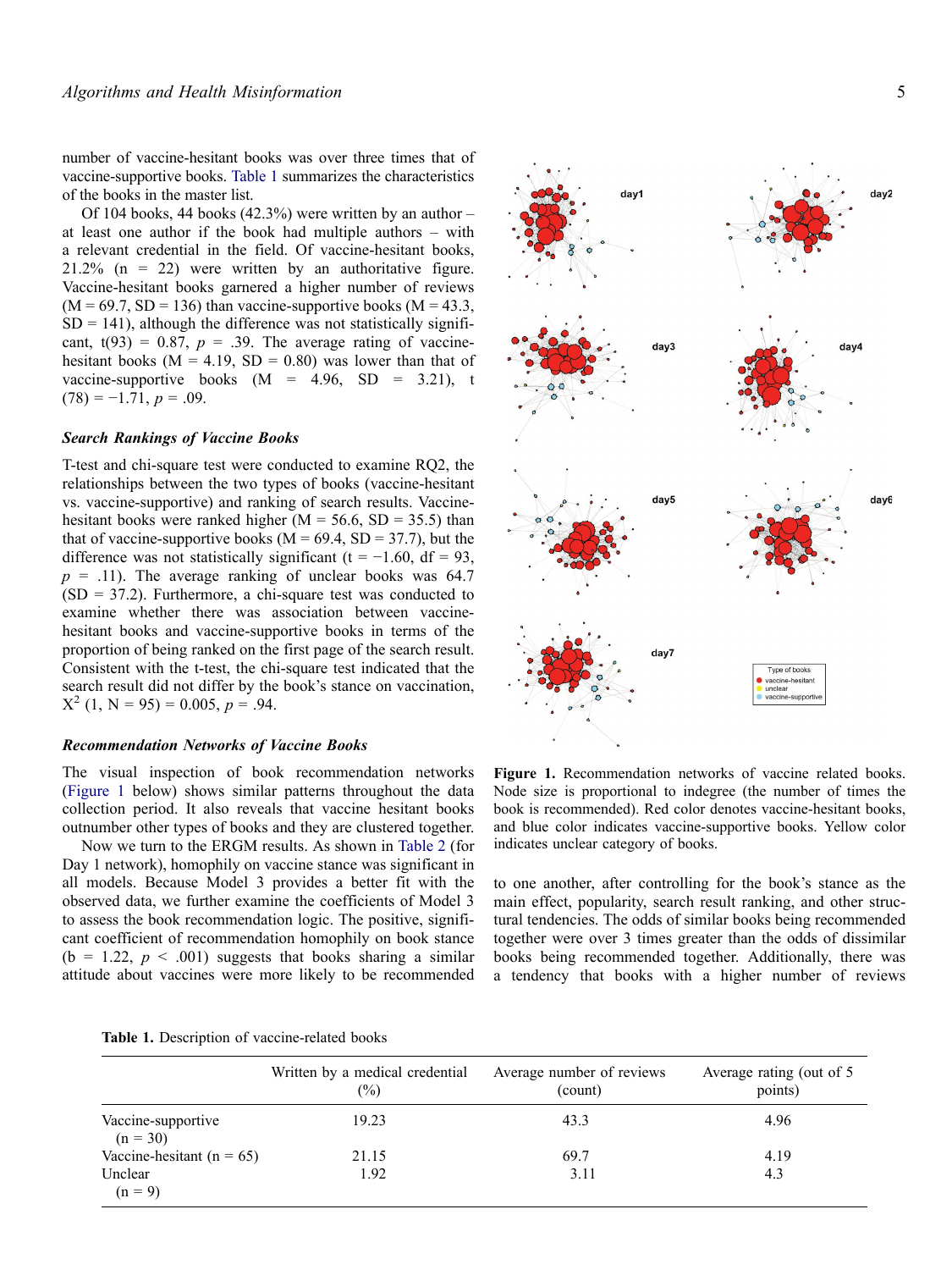number of vaccine-hesitant books was over three times that of vaccine-supportive books. [Table 1](#page-4-0) summarizes the characteristics of the books in the master list.

Of 104 books, 44 books  $(42.3\%)$  were written by an author – at least one author if the book had multiple authors – with a relevant credential in the field. Of vaccine-hesitant books,  $21.2\%$  (n = 22) were written by an authoritative figure. Vaccine-hesitant books garnered a higher number of reviews  $(M = 69.7, SD = 136)$  than vaccine-supportive books  $(M = 43.3,$  $SD = 141$ ), although the difference was not statistically significant,  $t(93) = 0.87$ ,  $p = .39$ . The average rating of vaccinehesitant books ( $M = 4.19$ ,  $SD = 0.80$ ) was lower than that of vaccine-supportive books  $(M = 4.96, SD = 3.21)$ , t  $(78) = -1.71, p = .09.$ 

## *Search Rankings of Vaccine Books*

T-test and chi-square test were conducted to examine RQ2, the relationships between the two types of books (vaccine-hesitant vs. vaccine-supportive) and ranking of search results. Vaccinehesitant books were ranked higher ( $M = 56.6$ ,  $SD = 35.5$ ) than that of vaccine-supportive books ( $M = 69.4$ ,  $SD = 37.7$ ), but the difference was not statistically significant (t =  $-1.60$ , df = 93,  $p = .11$ ). The average ranking of unclear books was 64.7  $(SD = 37.2)$ . Furthermore, a chi-square test was conducted to examine whether there was association between vaccinehesitant books and vaccine-supportive books in terms of the proportion of being ranked on the first page of the search result. Consistent with the t-test, the chi-square test indicated that the search result did not differ by the book's stance on vaccination,  $X^{2}$  (1, N = 95) = 0.005, p = .94.

## *Recommendation Networks of Vaccine Books*

The visual inspection of book recommendation networks [\(Figure 1](#page-4-1) below) shows similar patterns throughout the data collection period. It also reveals that vaccine hesitant books outnumber other types of books and they are clustered together.

Now we turn to the ERGM results. As shown in [Table 2](#page-5-0) (for Day 1 network), homophily on vaccine stance was significant in all models. Because Model 3 provides a better fit with the observed data, we further examine the coefficients of Model 3 to assess the book recommendation logic. The positive, significant coefficient of recommendation homophily on book stance  $(b = 1.22, p < .001)$  suggests that books sharing a similar attitude about vaccines were more likely to be recommended

<span id="page-4-0"></span>**Table 1.** Description of vaccine-related books

|                                  | Written by a medical credential<br>$\frac{6}{2}$ | Average number of reviews<br>(count) | Average rating (out of 5<br>points) |
|----------------------------------|--------------------------------------------------|--------------------------------------|-------------------------------------|
| Vaccine-supportive<br>$(n = 30)$ | 19.23                                            | 43.3                                 | 4.96                                |
| Vaccine-hesitant ( $n = 65$ )    | 21.15                                            | 69.7                                 | 4.19                                |
| Unclear<br>$(n = 9)$             | 1.92                                             | 3.11                                 | 4.3                                 |



<span id="page-4-1"></span>**Figure 1.** Recommendation networks of vaccine related books. Node size is proportional to indegree (the number of times the book is recommended). Red color denotes vaccine-hesitant books, and blue color indicates vaccine-supportive books. Yellow color indicates unclear category of books.

to one another, after controlling for the book's stance as the main effect, popularity, search result ranking, and other structural tendencies. The odds of similar books being recommended together were over 3 times greater than the odds of dissimilar books being recommended together. Additionally, there was a tendency that books with a higher number of reviews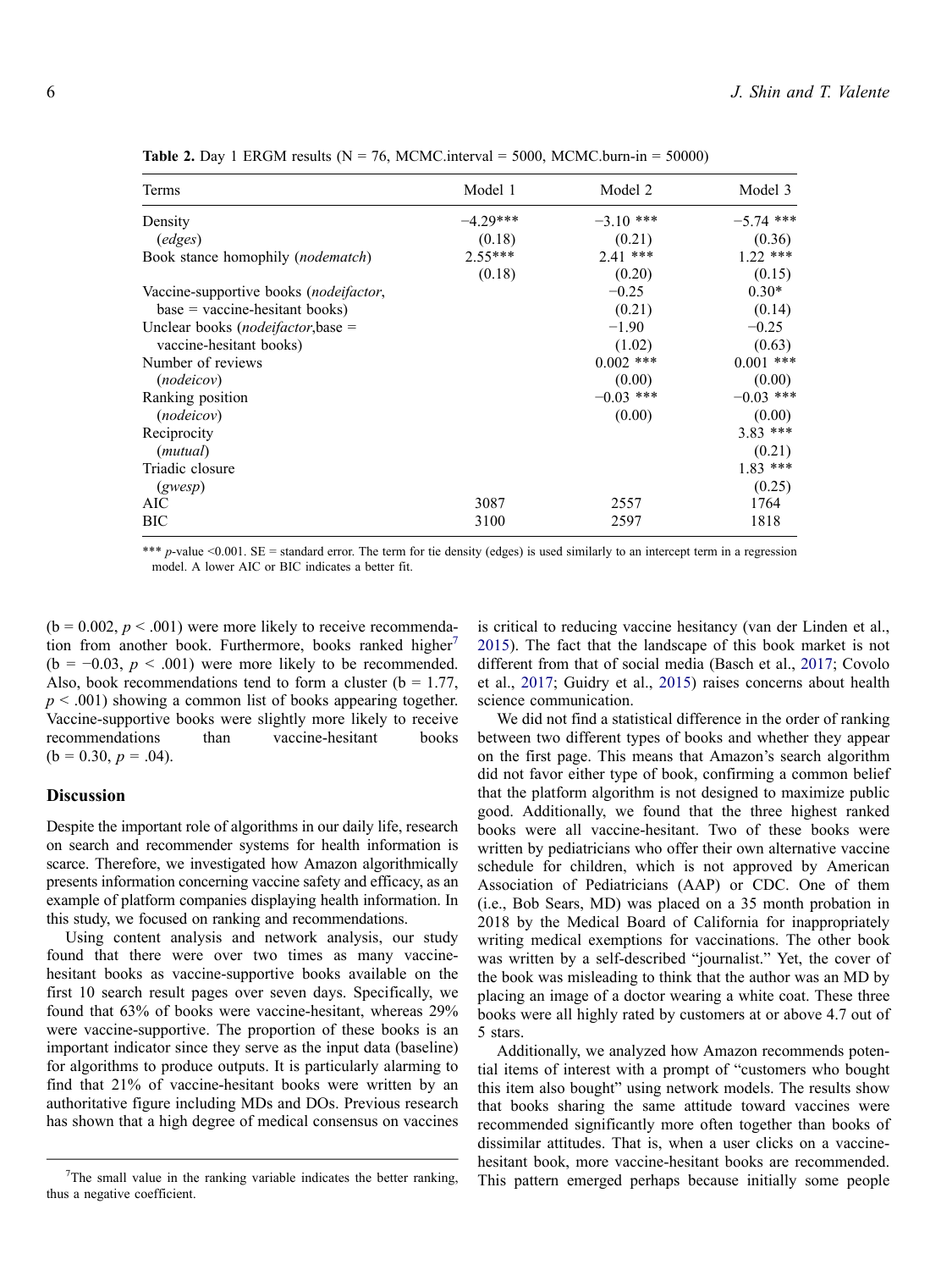| Terms                                           | Model 1    | Model 2     | Model 3     |
|-------------------------------------------------|------------|-------------|-------------|
| Density                                         | $-4.29***$ | $-3.10$ *** | $-5.74$ *** |
| (edges)                                         | (0.18)     | (0.21)      | (0.36)      |
| Book stance homophily ( <i>nodematch</i> )      | $2.55***$  | $2.41$ ***  | $1.22$ ***  |
|                                                 | (0.18)     | (0.20)      | (0.15)      |
| Vaccine-supportive books ( <i>nodeifactor</i> , |            | $-0.25$     | $0.30*$     |
| $base = vaccine-hesitant books)$                |            | (0.21)      | (0.14)      |
| Unclear books (nodeifactor, base =              |            | $-1.90$     | $-0.25$     |
| vaccine-hesitant books)                         |            | (1.02)      | (0.63)      |
| Number of reviews                               |            | $0.002$ *** | $0.001$ *** |
| ( <i>nodeicov</i> )                             |            | (0.00)      | (0.00)      |
| Ranking position                                |            | $-0.03$ *** | $-0.03$ *** |
| ( <i>nodeicov</i> )                             |            | (0.00)      | (0.00)      |
| Reciprocity                                     |            |             | $3.83$ ***  |
| (mutual)                                        |            |             | (0.21)      |
| Triadic closure                                 |            |             | $1.83$ ***  |
| (gwesp)                                         |            |             | (0.25)      |
| AIC                                             | 3087       | 2557        | 1764        |
| BIC                                             | 3100       | 2597        | 1818        |

<span id="page-5-0"></span>**Table 2.** Day 1 ERGM results ( $N = 76$ , MCMC.interval = 5000, MCMC.burn-in = 50000)

\*\*\* *p*-value <0.001. SE = standard error. The term for tie density (edges) is used similarly to an intercept term in a regression model. A lower AIC or BIC indicates a better fit.

 $(b = 0.002, p < .001)$  were more likely to receive recommenda-tion from another book. Furthermore, books ranked higher<sup>[7](#page-5-1)</sup>  $(b = -0.03, p < .001)$  were more likely to be recommended. Also, book recommendations tend to form a cluster ( $b = 1.77$ ,  $p \leq 0.001$ ) showing a common list of books appearing together. Vaccine-supportive books were slightly more likely to receive recommendations than vaccine-hesitant books  $(b = 0.30, p = .04)$ .

## **Discussion**

Despite the important role of algorithms in our daily life, research on search and recommender systems for health information is scarce. Therefore, we investigated how Amazon algorithmically presents information concerning vaccine safety and efficacy, as an example of platform companies displaying health information. In this study, we focused on ranking and recommendations.

Using content analysis and network analysis, our study found that there were over two times as many vaccinehesitant books as vaccine-supportive books available on the first 10 search result pages over seven days. Specifically, we found that 63% of books were vaccine-hesitant, whereas 29% were vaccine-supportive. The proportion of these books is an important indicator since they serve as the input data (baseline) for algorithms to produce outputs. It is particularly alarming to find that 21% of vaccine-hesitant books were written by an authoritative figure including MDs and DOs. Previous research has shown that a high degree of medical consensus on vaccines <span id="page-5-2"></span>is critical to reducing vaccine hesitancy (van der Linden et al., [2015](#page-7-30)). The fact that the landscape of this book market is not different from that of social media (Basch et al., [2017;](#page-6-1) Covolo et al., [2017](#page-6-6); Guidry et al., [2015](#page-7-2)) raises concerns about health science communication.

We did not find a statistical difference in the order of ranking between two different types of books and whether they appear on the first page. This means that Amazon's search algorithm did not favor either type of book, confirming a common belief that the platform algorithm is not designed to maximize public good. Additionally, we found that the three highest ranked books were all vaccine-hesitant. Two of these books were written by pediatricians who offer their own alternative vaccine schedule for children, which is not approved by American Association of Pediatricians (AAP) or CDC. One of them (i.e., Bob Sears, MD) was placed on a 35 month probation in 2018 by the Medical Board of California for inappropriately writing medical exemptions for vaccinations. The other book was written by a self-described "journalist." Yet, the cover of the book was misleading to think that the author was an MD by placing an image of a doctor wearing a white coat. These three books were all highly rated by customers at or above 4.7 out of 5 stars.

Additionally, we analyzed how Amazon recommends potential items of interest with a prompt of "customers who bought this item also bought" using network models. The results show that books sharing the same attitude toward vaccines were recommended significantly more often together than books of dissimilar attitudes. That is, when a user clicks on a vaccinehesitant book, more vaccine-hesitant books are recommended. This pattern emerged perhaps because initially some people

<span id="page-5-1"></span> $7$ The small value in the ranking variable indicates the better ranking, thus a negative coefficient.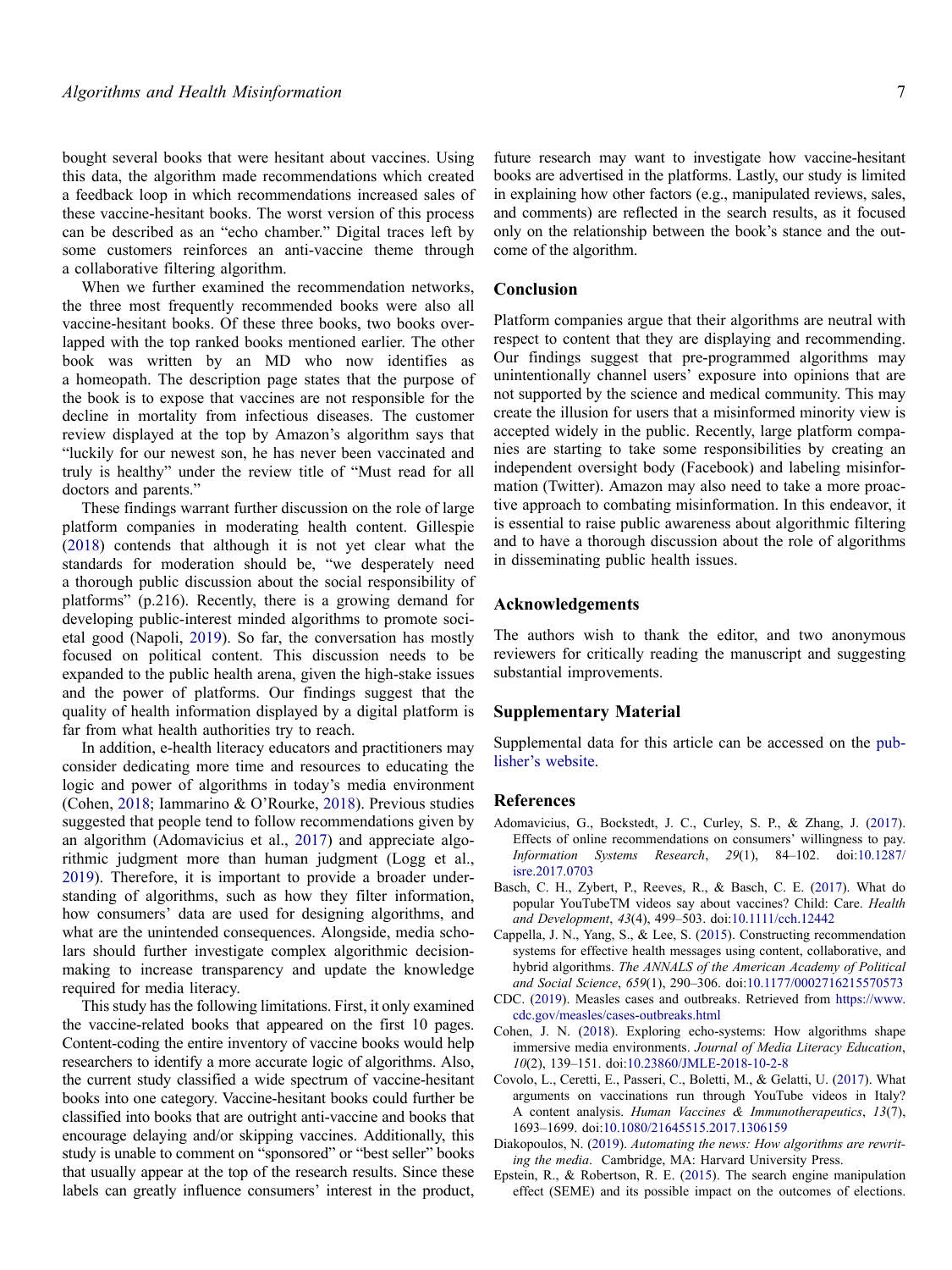bought several books that were hesitant about vaccines. Using this data, the algorithm made recommendations which created a feedback loop in which recommendations increased sales of these vaccine-hesitant books. The worst version of this process can be described as an "echo chamber." Digital traces left by some customers reinforces an anti-vaccine theme through a collaborative filtering algorithm.

When we further examined the recommendation networks, the three most frequently recommended books were also all vaccine-hesitant books. Of these three books, two books overlapped with the top ranked books mentioned earlier. The other book was written by an MD who now identifies as a homeopath. The description page states that the purpose of the book is to expose that vaccines are not responsible for the decline in mortality from infectious diseases. The customer review displayed at the top by Amazon's algorithm says that "luckily for our newest son, he has never been vaccinated and truly is healthy" under the review title of "Must read for all doctors and parents."

These findings warrant further discussion on the role of large platform companies in moderating health content. Gillespie [\(2018](#page-7-21)) contends that although it is not yet clear what the standards for moderation should be, "we desperately need a thorough public discussion about the social responsibility of platforms" (p.216). Recently, there is a growing demand for developing public-interest minded algorithms to promote societal good (Napoli, [2019](#page-7-22)). So far, the conversation has mostly focused on political content. This discussion needs to be expanded to the public health arena, given the high-stake issues and the power of platforms. Our findings suggest that the quality of health information displayed by a digital platform is far from what health authorities try to reach.

<span id="page-6-8"></span>In addition, e-health literacy educators and practitioners may consider dedicating more time and resources to educating the logic and power of algorithms in today's media environment (Cohen, [2018;](#page-6-2) Iammarino & O'Rourke, [2018\)](#page-7-31). Previous studies suggested that people tend to follow recommendations given by an algorithm (Adomavicius et al., [2017](#page-6-4)) and appreciate algorithmic judgment more than human judgment (Logg et al., [2019\)](#page-7-16). Therefore, it is important to provide a broader understanding of algorithms, such as how they filter information, how consumers' data are used for designing algorithms, and what are the unintended consequences. Alongside, media scholars should further investigate complex algorithmic decisionmaking to increase transparency and update the knowledge required for media literacy.

This study has the following limitations. First, it only examined the vaccine-related books that appeared on the first 10 pages. Content-coding the entire inventory of vaccine books would help researchers to identify a more accurate logic of algorithms. Also, the current study classified a wide spectrum of vaccine-hesitant books into one category. Vaccine-hesitant books could further be classified into books that are outright anti-vaccine and books that encourage delaying and/or skipping vaccines. Additionally, this study is unable to comment on "sponsored" or "best seller" books that usually appear at the top of the research results. Since these labels can greatly influence consumers' interest in the product,

future research may want to investigate how vaccine-hesitant books are advertised in the platforms. Lastly, our study is limited in explaining how other factors (e.g., manipulated reviews, sales, and comments) are reflected in the search results, as it focused only on the relationship between the book's stance and the outcome of the algorithm.

# **Conclusion**

Platform companies argue that their algorithms are neutral with respect to content that they are displaying and recommending. Our findings suggest that pre-programmed algorithms may unintentionally channel users' exposure into opinions that are not supported by the science and medical community. This may create the illusion for users that a misinformed minority view is accepted widely in the public. Recently, large platform companies are starting to take some responsibilities by creating an independent oversight body (Facebook) and labeling misinformation (Twitter). Amazon may also need to take a more proactive approach to combating misinformation. In this endeavor, it is essential to raise public awareness about algorithmic filtering and to have a thorough discussion about the role of algorithms in disseminating public health issues.

#### **Acknowledgements**

The authors wish to thank the editor, and two anonymous reviewers for critically reading the manuscript and suggesting substantial improvements.

## **Supplementary Material**

Supplemental data for this article can be accessed on the [pub](https://doi.org/10.1080/10810730.2020.1776423)[lisher's website](https://doi.org/10.1080/10810730.2020.1776423).

# **References**

- <span id="page-6-4"></span>Adomavicius, G., Bockstedt, J. C., Curley, S. P., & Zhang, J. [\(2017](#page-1-0)). Effects of online recommendations on consumers' willingness to pay. *Information Systems Research*, *29*(1), 84–102. doi:[10.1287/](https://doi.org/10.1287/isre.2017.0703) [isre.2017.0703](https://doi.org/10.1287/isre.2017.0703)
- <span id="page-6-1"></span>Basch, C. H., Zybert, P., Reeves, R., & Basch, C. E. ([2017\)](#page-0-2). What do popular YouTubeTM videos say about vaccines? Child: Care. *Health and Development*, *43*(4), 499–503. doi:[10.1111/cch.12442](https://doi.org/10.1111/cch.12442)
- <span id="page-6-5"></span>Cappella, J. N., Yang, S., & Lee, S. ([2015\)](#page-1-1). Constructing recommendation systems for effective health messages using content, collaborative, and hybrid algorithms. *The ANNALS of the American Academy of Political and Social Science*, *659*(1), 290–306. doi:[10.1177/0002716215570573](https://doi.org/10.1177/0002716215570573)
- <span id="page-6-0"></span>CDC. ([2019\)](#page-0-3). Measles cases and outbreaks. Retrieved from [https://www.](https://www.cdc.gov/measles/cases-outbreaks.html) [cdc.gov/measles/cases-outbreaks.html](https://www.cdc.gov/measles/cases-outbreaks.html)
- <span id="page-6-2"></span>Cohen, J. N. ([2018\)](#page-0-4). Exploring echo-systems: How algorithms shape immersive media environments. *Journal of Media Literacy Education*, *10*(2), 139–151. doi:[10.23860/JMLE-2018-10-2-8](https://doi.org/10.23860/JMLE-2018-10-2-8)
- <span id="page-6-6"></span>Covolo, L., Ceretti, E., Passeri, C., Boletti, M., & Gelatti, U. [\(2017](#page-1-2)). What arguments on vaccinations run through YouTube videos in Italy? A content analysis. *Human Vaccines & Immunotherapeutics*, *13*(7), 1693–1699. doi:[10.1080/21645515.2017.1306159](https://doi.org/10.1080/21645515.2017.1306159)
- <span id="page-6-7"></span>Diakopoulos, N. [\(2019](#page-2-2)). *Automating the news: How algorithms are rewriting the media*. Cambridge, MA: Harvard University Press.
- <span id="page-6-3"></span>Epstein, R., & Robertson, R. E. [\(2015](#page-1-3)). The search engine manipulation effect (SEME) and its possible impact on the outcomes of elections.